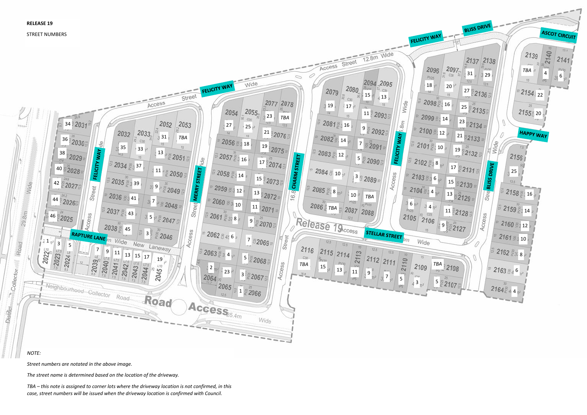## *NOTE:*

*Street numbers are notated in the above image.*

*The street name is determined based on the location of the driveway.* 

*TBA – this note is assigned to corner lots where the driveway location is not confirmed, in this case, street numbers will be issued when the driveway location is confirmed with Council.*

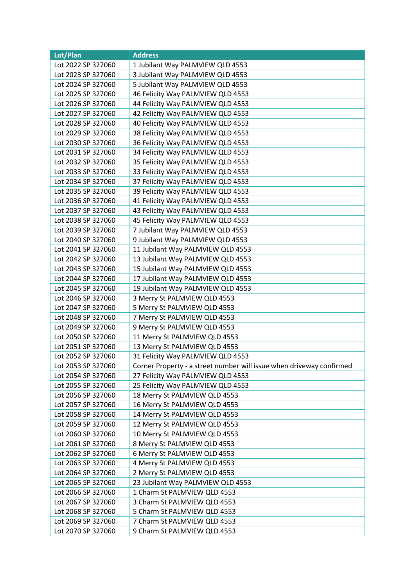| Lot/Plan           | <b>Address</b>                                                       |
|--------------------|----------------------------------------------------------------------|
| Lot 2022 SP 327060 | 1 Jubilant Way PALMVIEW QLD 4553                                     |
| Lot 2023 SP 327060 | 3 Jubilant Way PALMVIEW QLD 4553                                     |
| Lot 2024 SP 327060 | 5 Jubilant Way PALMVIEW QLD 4553                                     |
| Lot 2025 SP 327060 | 46 Felicity Way PALMVIEW QLD 4553                                    |
| Lot 2026 SP 327060 | 44 Felicity Way PALMVIEW QLD 4553                                    |
| Lot 2027 SP 327060 | 42 Felicity Way PALMVIEW QLD 4553                                    |
| Lot 2028 SP 327060 | 40 Felicity Way PALMVIEW QLD 4553                                    |
| Lot 2029 SP 327060 | 38 Felicity Way PALMVIEW QLD 4553                                    |
| Lot 2030 SP 327060 | 36 Felicity Way PALMVIEW QLD 4553                                    |
| Lot 2031 SP 327060 | 34 Felicity Way PALMVIEW QLD 4553                                    |
| Lot 2032 SP 327060 | 35 Felicity Way PALMVIEW QLD 4553                                    |
| Lot 2033 SP 327060 | 33 Felicity Way PALMVIEW QLD 4553                                    |
| Lot 2034 SP 327060 | 37 Felicity Way PALMVIEW QLD 4553                                    |
| Lot 2035 SP 327060 | 39 Felicity Way PALMVIEW QLD 4553                                    |
| Lot 2036 SP 327060 | 41 Felicity Way PALMVIEW QLD 4553                                    |
| Lot 2037 SP 327060 | 43 Felicity Way PALMVIEW QLD 4553                                    |
| Lot 2038 SP 327060 | 45 Felicity Way PALMVIEW QLD 4553                                    |
| Lot 2039 SP 327060 | 7 Jubilant Way PALMVIEW QLD 4553                                     |
| Lot 2040 SP 327060 | 9 Jubilant Way PALMVIEW QLD 4553                                     |
| Lot 2041 SP 327060 | 11 Jubilant Way PALMVIEW QLD 4553                                    |
| Lot 2042 SP 327060 | 13 Jubilant Way PALMVIEW QLD 4553                                    |
| Lot 2043 SP 327060 | 15 Jubilant Way PALMVIEW QLD 4553                                    |
| Lot 2044 SP 327060 | 17 Jubilant Way PALMVIEW QLD 4553                                    |
| Lot 2045 SP 327060 | 19 Jubilant Way PALMVIEW QLD 4553                                    |
| Lot 2046 SP 327060 | 3 Merry St PALMVIEW QLD 4553                                         |
| Lot 2047 SP 327060 | 5 Merry St PALMVIEW QLD 4553                                         |
| Lot 2048 SP 327060 | 7 Merry St PALMVIEW QLD 4553                                         |
| Lot 2049 SP 327060 | 9 Merry St PALMVIEW QLD 4553                                         |
| Lot 2050 SP 327060 | 11 Merry St PALMVIEW QLD 4553                                        |
| Lot 2051 SP 327060 | 13 Merry St PALMVIEW QLD 4553                                        |
| Lot 2052 SP 327060 | 31 Felicity Way PALMVIEW QLD 4553                                    |
| Lot 2053 SP 327060 | Corner Property - a street number will issue when driveway confirmed |
| Lot 2054 SP 327060 | 27 Felicity Way PALMVIEW QLD 4553                                    |
| Lot 2055 SP 327060 | 25 Felicity Way PALMVIEW QLD 4553                                    |
| Lot 2056 SP 327060 | 18 Merry St PALMVIEW QLD 4553                                        |
| Lot 2057 SP 327060 | 16 Merry St PALMVIEW QLD 4553                                        |
| Lot 2058 SP 327060 | 14 Merry St PALMVIEW QLD 4553                                        |
| Lot 2059 SP 327060 | 12 Merry St PALMVIEW QLD 4553                                        |
| Lot 2060 SP 327060 | 10 Merry St PALMVIEW QLD 4553                                        |
| Lot 2061 SP 327060 | 8 Merry St PALMVIEW QLD 4553                                         |
| Lot 2062 SP 327060 | 6 Merry St PALMVIEW QLD 4553                                         |
| Lot 2063 SP 327060 | 4 Merry St PALMVIEW QLD 4553                                         |
| Lot 2064 SP 327060 | 2 Merry St PALMVIEW QLD 4553                                         |
| Lot 2065 SP 327060 | 23 Jubilant Way PALMVIEW QLD 4553                                    |
| Lot 2066 SP 327060 | 1 Charm St PALMVIEW QLD 4553                                         |
| Lot 2067 SP 327060 | 3 Charm St PALMVIEW QLD 4553                                         |
| Lot 2068 SP 327060 | 5 Charm St PALMVIEW QLD 4553                                         |
| Lot 2069 SP 327060 | 7 Charm St PALMVIEW QLD 4553                                         |
| Lot 2070 SP 327060 | 9 Charm St PALMVIEW QLD 4553                                         |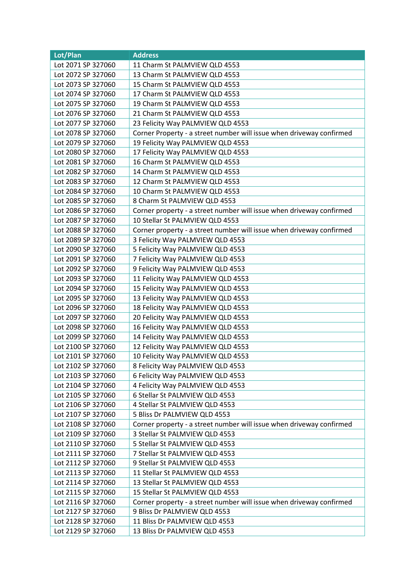| Lot/Plan           | <b>Address</b>                                                       |
|--------------------|----------------------------------------------------------------------|
| Lot 2071 SP 327060 | 11 Charm St PALMVIEW QLD 4553                                        |
| Lot 2072 SP 327060 | 13 Charm St PALMVIEW QLD 4553                                        |
| Lot 2073 SP 327060 | 15 Charm St PALMVIEW QLD 4553                                        |
| Lot 2074 SP 327060 | 17 Charm St PALMVIEW QLD 4553                                        |
| Lot 2075 SP 327060 | 19 Charm St PALMVIEW QLD 4553                                        |
| Lot 2076 SP 327060 | 21 Charm St PALMVIEW QLD 4553                                        |
| Lot 2077 SP 327060 | 23 Felicity Way PALMVIEW QLD 4553                                    |
| Lot 2078 SP 327060 | Corner Property - a street number will issue when driveway confirmed |
| Lot 2079 SP 327060 | 19 Felicity Way PALMVIEW QLD 4553                                    |
| Lot 2080 SP 327060 | 17 Felicity Way PALMVIEW QLD 4553                                    |
| Lot 2081 SP 327060 | 16 Charm St PALMVIEW QLD 4553                                        |
| Lot 2082 SP 327060 | 14 Charm St PALMVIEW QLD 4553                                        |
| Lot 2083 SP 327060 | 12 Charm St PALMVIEW QLD 4553                                        |
| Lot 2084 SP 327060 | 10 Charm St PALMVIEW QLD 4553                                        |
| Lot 2085 SP 327060 | 8 Charm St PALMVIEW QLD 4553                                         |
| Lot 2086 SP 327060 | Corner property - a street number will issue when driveway confirmed |
| Lot 2087 SP 327060 | 10 Stellar St PALMVIEW QLD 4553                                      |
| Lot 2088 SP 327060 | Corner property - a street number will issue when driveway confirmed |
| Lot 2089 SP 327060 | 3 Felicity Way PALMVIEW QLD 4553                                     |
| Lot 2090 SP 327060 | 5 Felicity Way PALMVIEW QLD 4553                                     |
| Lot 2091 SP 327060 | 7 Felicity Way PALMVIEW QLD 4553                                     |
| Lot 2092 SP 327060 | 9 Felicity Way PALMVIEW QLD 4553                                     |
| Lot 2093 SP 327060 | 11 Felicity Way PALMVIEW QLD 4553                                    |
| Lot 2094 SP 327060 | 15 Felicity Way PALMVIEW QLD 4553                                    |
| Lot 2095 SP 327060 | 13 Felicity Way PALMVIEW QLD 4553                                    |
| Lot 2096 SP 327060 | 18 Felicity Way PALMVIEW QLD 4553                                    |
| Lot 2097 SP 327060 | 20 Felicity Way PALMVIEW QLD 4553                                    |
| Lot 2098 SP 327060 | 16 Felicity Way PALMVIEW QLD 4553                                    |
| Lot 2099 SP 327060 | 14 Felicity Way PALMVIEW QLD 4553                                    |
| Lot 2100 SP 327060 | 12 Felicity Way PALMVIEW QLD 4553                                    |
| Lot 2101 SP 327060 | 10 Felicity Way PALMVIEW QLD 4553                                    |
| Lot 2102 SP 327060 | 8 Felicity Way PALMVIEW QLD 4553                                     |
| Lot 2103 SP 327060 | 6 Felicity Way PALMVIEW QLD 4553                                     |
| Lot 2104 SP 327060 | 4 Felicity Way PALMVIEW QLD 4553                                     |
| Lot 2105 SP 327060 | 6 Stellar St PALMVIEW QLD 4553                                       |
| Lot 2106 SP 327060 | 4 Stellar St PALMVIEW QLD 4553                                       |
| Lot 2107 SP 327060 | 5 Bliss Dr PALMVIEW QLD 4553                                         |
| Lot 2108 SP 327060 | Corner property - a street number will issue when driveway confirmed |
| Lot 2109 SP 327060 | 3 Stellar St PALMVIEW QLD 4553                                       |
| Lot 2110 SP 327060 | 5 Stellar St PALMVIEW QLD 4553                                       |
| Lot 2111 SP 327060 | 7 Stellar St PALMVIEW QLD 4553                                       |
| Lot 2112 SP 327060 | 9 Stellar St PALMVIEW QLD 4553                                       |
| Lot 2113 SP 327060 | 11 Stellar St PALMVIEW QLD 4553                                      |
| Lot 2114 SP 327060 | 13 Stellar St PALMVIEW QLD 4553                                      |
| Lot 2115 SP 327060 | 15 Stellar St PALMVIEW QLD 4553                                      |
| Lot 2116 SP 327060 | Corner property - a street number will issue when driveway confirmed |
| Lot 2127 SP 327060 | 9 Bliss Dr PALMVIEW QLD 4553                                         |
| Lot 2128 SP 327060 | 11 Bliss Dr PALMVIEW QLD 4553                                        |
| Lot 2129 SP 327060 | 13 Bliss Dr PALMVIEW QLD 4553                                        |